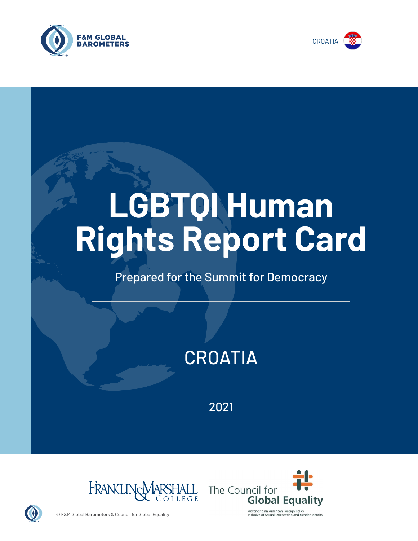



# **LGBTQI Human Rights Report Card**

# Prepared for the Summit for Democracy

# **CROATIA**

2021





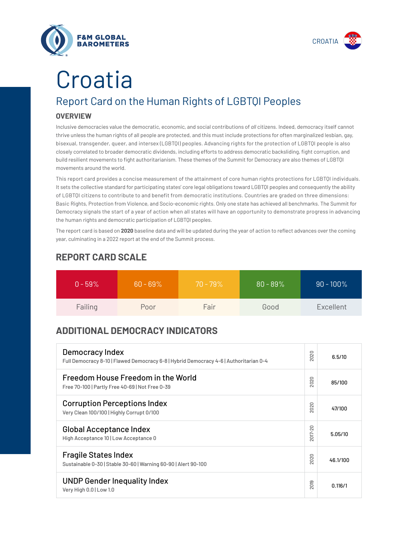



# **Croatia**

# Report Card on the Human Rights of LGBTQI Peoples

## **OVERVIEW**

Inclusive democracies value the democratic, economic, and social contributions of *all* citizens. Indeed, democracy itself cannot thrive unless the human rights of all people are protected, and this must include protections for often marginalized lesbian, gay, bisexual, transgender, queer, and intersex (LGBTQI) peoples. Advancing rights for the protection of LGBTQI people is also closely correlated to broader democratic dividends, including efforts to address democratic backsliding, fight corruption, and build resilient movements to fight authoritarianism. These themes of the Summit for Democracy are also themes of LGBTQI movements around the world.

This report card provides a concise measurement of the attainment of core human rights protections for LGBTQI individuals. It sets the collective standard for participating states' core legal obligations toward LGBTQI peoples and consequently the ability of LGBTQI citizens to contribute to and benefit from democratic institutions. Countries are graded on three dimensions: Basic Rights, Protection from Violence, and Socio-economic rights. Only one state has achieved all benchmarks. The Summit for Democracy signals the start of a year of action when all states will have an opportunity to demonstrate progress in advancing the human rights and democratic participation of LGBTQI peoples.

The report card is based on **2020** baseline data and will be updated during the year of action to reflect advances over the coming year, culminating in a 2022 report at the end of the Summit process.

| $0 - 59\%$ | $60 - 69\%$ | $70 - 79\%$ | $80 - 89%$ | $90 - 100\%$ |
|------------|-------------|-------------|------------|--------------|
| Failing    | Poor        | Fair        | Good       | Excellent    |

# **REPORT CARD SCALE**

# **ADDITIONAL DEMOCRACY INDICATORS**

| Democracy Index<br>Full Democracy 8-10   Flawed Democracy 6-8   Hybrid Democracy 4-6   Authoritarian 0-4 | 2020                | 6.5/10   |
|----------------------------------------------------------------------------------------------------------|---------------------|----------|
| Freedom House Freedom in the World<br>Free 70-100   Partly Free 40-69   Not Free 0-39                    | 2020                | 85/100   |
| <b>Corruption Perceptions Index</b><br>Very Clean 100/100   Highly Corrupt 0/100                         | 2020                | 47/100   |
| <b>Global Acceptance Index</b><br>High Acceptance 10   Low Acceptance 0                                  | 2017-20             | 5.05/10  |
| <b>Fragile States Index</b><br>Sustainable 0-30   Stable 30-60   Warning 60-90   Alert 90-100            | 020<br>$\bar{\sim}$ | 46.1/100 |
| <b>UNDP Gender Inequality Index</b><br>Very High 0.0   Low 1.0                                           | 2019                | 0.116/1  |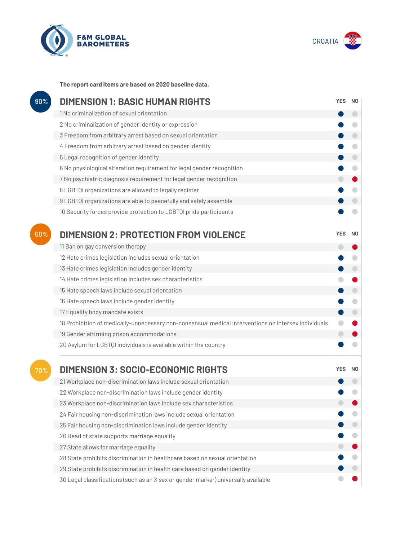



**The report card items are based on 2020 baseline data.**

| 90% | <b>DIMENSION 1: BASIC HUMAN RIGHTS</b>                                                               |            |                          |
|-----|------------------------------------------------------------------------------------------------------|------------|--------------------------|
|     | 1 No criminalization of sexual orientation                                                           |            | $\overline{\phantom{0}}$ |
|     | 2 No criminalization of gender identity or expression                                                |            |                          |
|     | 3 Freedom from arbitrary arrest based on sexual orientation                                          |            |                          |
|     | 4 Freedom from arbitrary arrest based on gender identity                                             |            | $\bigcirc$               |
|     | 5 Legal recognition of gender identity                                                               |            | $\bigcirc$               |
|     | 6 No physiological alteration requirement for legal gender recognition                               |            | $\bigcap$                |
|     | 7 No psychiatric diagnosis requirement for legal gender recognition                                  |            |                          |
|     | 8 LGBTQI organizations are allowed to legally register                                               |            |                          |
|     | 9 LGBTQI organizations are able to peacefully and safely assemble                                    |            |                          |
|     | 10 Security forces provide protection to LGBTQI pride participants                                   |            |                          |
| 60% | <b>DIMENSION 2: PROTECTION FROM VIOLENCE</b>                                                         | <b>YES</b> | N <sub>0</sub>           |
|     | 11 Ban on gay conversion therapy                                                                     | o          |                          |
|     | 12 Hate crimes legislation includes sexual orientation                                               |            |                          |
|     | 13 Hate crimes legislation includes gender identity                                                  |            | $\bigcirc$               |
|     | 14 Hate crimes legislation includes sex characteristics                                              |            |                          |
|     | 15 Hate speech laws include sexual orientation                                                       |            | $\bigcirc$               |
|     | 16 Hate speech laws include gender identity                                                          |            | $\blacksquare$           |
|     | 17 Equality body mandate exists                                                                      |            |                          |
|     | 18 Prohibition of medically-unnecessary non-consensual medical interventions on intersex individuals |            |                          |
|     | 19 Gender affirming prison accommodations                                                            | $\bigcirc$ |                          |
|     | 20 Asylum for LGBTQI individuals is available within the country                                     |            |                          |
| 70% | <b>DIMENSION 3: SOCIO-ECONOMIC RIGHTS</b>                                                            | <b>YES</b> | N <sub>0</sub>           |
|     | 21 Workplace non-discrimination laws include sexual orientation                                      |            |                          |
|     | 22 Workplace non-discrimination laws include gender identity                                         |            |                          |
|     | 23 Workplace non-discrimination laws include sex characteristics                                     |            |                          |
|     | 24 Fair housing non-discrimination laws include sexual orientation                                   |            |                          |
|     | 25 Fair housing non-discrimination laws include gender identity                                      |            |                          |
|     | 26 Head of state supports marriage equality                                                          |            |                          |
|     | 27 State allows for marriage equality                                                                |            |                          |
|     | 28 State prohibits discrimination in healthcare based on sexual orientation                          |            |                          |
|     | 29 State prohibits discrimination in health care based on gender identity                            |            |                          |
|     | 30 Legal classifications (such as an X sex or gender marker) universally available                   |            |                          |